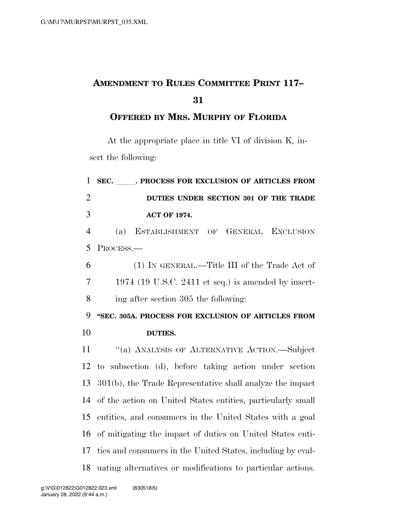## **AMENDMENT TO RULES COMMITTEE PRINT 117–**

## **OFFERED BY MRS. MURPHY OF FLORIDA**

At the appropriate place in title VI of division K, insert the following:

| $\mathbf{1}$   | SEC. PROCESS FOR EXCLUSION OF ARTICLES FROM                  |
|----------------|--------------------------------------------------------------|
| $\overline{2}$ | DUTIES UNDER SECTION 301 OF THE TRADE                        |
| 3              | <b>ACT OF 1974.</b>                                          |
| $\overline{4}$ | GENERAL EXCLUSION<br>(a)<br>ESTABLISHMENT OF                 |
| 5              | PROCESS.-                                                    |
| 6              | (1) IN GENERAL.—Title III of the Trade Act of                |
| $\overline{7}$ | $1974$ (19 U.S.C. 2411 et seq.) is amended by insert-        |
| 8              | ing after section 305 the following:                         |
| 9              | "SEC. 305A. PROCESS FOR EXCLUSION OF ARTICLES FROM           |
|                |                                                              |
| 10             | <b>DUTIES.</b>                                               |
| 11             | "(a) ANALYSIS OF ALTERNATIVE ACTION.—Subject                 |
| 12             | to subsection (d), before taking action under section        |
| 13             | $301(b)$ , the Trade Representative shall analyze the impact |
| 14             | of the action on United States entities, particularly small  |
| 15             | entities, and consumers in the United States with a goal     |
| 16             | of mitigating the impact of duties on United States enti-    |
| 17             | ties and consumers in the United States, including by eval-  |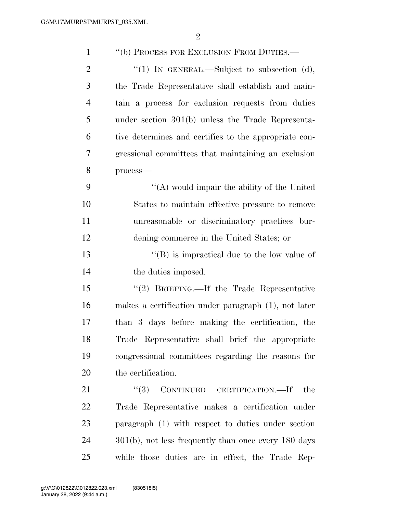| $\mathbf{1}$   | "(b) PROCESS FOR EXCLUSION FROM DUTIES.—                |
|----------------|---------------------------------------------------------|
| $\overline{2}$ | "(1) IN GENERAL.—Subject to subsection (d),             |
| 3              | the Trade Representative shall establish and main-      |
| $\overline{4}$ | tain a process for exclusion requests from duties       |
| 5              | under section $301(b)$ unless the Trade Representa-     |
| 6              | tive determines and certifies to the appropriate con-   |
| 7              | gressional committees that maintaining an exclusion     |
| 8              | process-                                                |
| 9              | "(A) would impair the ability of the United             |
| 10             | States to maintain effective pressure to remove         |
| 11             | unreasonable or discriminatory practices bur-           |
| 12             | dening commerce in the United States; or                |
| 13             | $\lq\lq$ (B) is impractical due to the low value of     |
| 14             | the duties imposed.                                     |
| 15             | "(2) BRIEFING.—If the Trade Representative              |
| 16             | makes a certification under paragraph (1), not later    |
| 17             | than 3 days before making the certification, the        |
| 18             | Trade Representative shall brief the appropriate        |
| 19             | congressional committees regarding the reasons for      |
| 20             | the certification.                                      |
| 21             | CONTINUED CERTIFICATION.—If<br>(3)<br>the               |
| 22             | Trade Representative makes a certification under        |
| 23             | paragraph (1) with respect to duties under section      |
| 24             | $301(b)$ , not less frequently than once every 180 days |
| 25             | while those duties are in effect, the Trade Rep-        |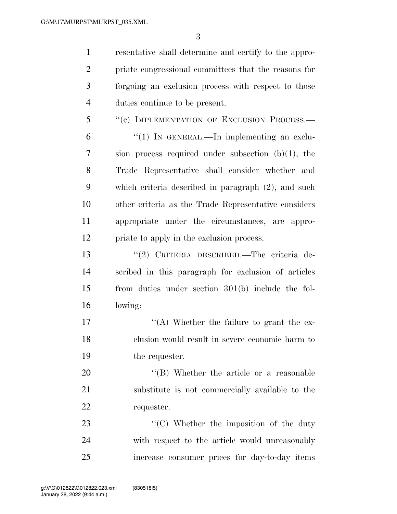resentative shall determine and certify to the appro- priate congressional committees that the reasons for forgoing an exclusion process with respect to those duties continue to be present.

5 "(c) IMPLEMENTATION OF EXCLUSION PROCESS.— "(1) In GENERAL.—In implementing an exclu- sion process required under subsection (b)(1), the Trade Representative shall consider whether and which criteria described in paragraph (2), and such other criteria as the Trade Representative considers appropriate under the circumstances, are appro-priate to apply in the exclusion process.

 ''(2) CRITERIA DESCRIBED.—The criteria de- scribed in this paragraph for exclusion of articles from duties under section 301(b) include the fol-lowing:

17  $\langle (A)$  Whether the failure to grant the ex- clusion would result in severe economic harm to the requester.

20  $\text{``(B)}$  Whether the article or a reasonable substitute is not commercially available to the requester.

23  $\cdot$  (C) Whether the imposition of the duty with respect to the article would unreasonably increase consumer prices for day-to-day items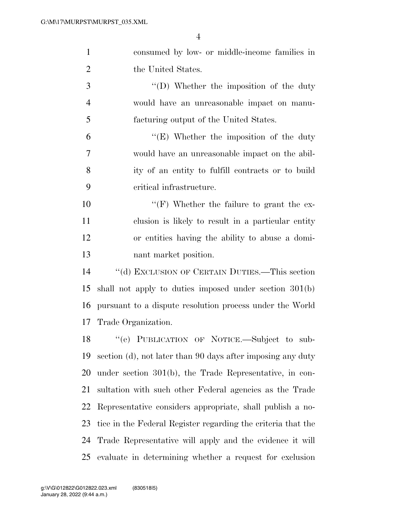| $\mathbf{1}$   | consumed by low- or middle-income families in                |
|----------------|--------------------------------------------------------------|
| 2              | the United States.                                           |
| 3              | $\lq\lq$ . Whether the imposition of the duty                |
| $\overline{4}$ | would have an unreasonable impact on manu-                   |
| 5              | facturing output of the United States.                       |
| 6              | $\lq\lq(E)$ Whether the imposition of the duty               |
| $\overline{7}$ | would have an unreasonable impact on the abil-               |
| 8              | ity of an entity to fulfill contracts or to build            |
| 9              | critical infrastructure.                                     |
| 10             | "(F) Whether the failure to grant the ex-                    |
| 11             | clusion is likely to result in a particular entity           |
| 12             | or entities having the ability to abuse a domi-              |
| 13             | nant market position.                                        |
| 14             | "(d) EXCLUSION OF CERTAIN DUTIES.—This section               |
| 15             | shall not apply to duties imposed under section 301(b)       |
| 16             | pursuant to a dispute resolution process under the World     |
| 17             | Trade Organization.                                          |
|                | 18 "(e) PUBLICATION OF NOTICE.—Subject to sub-               |
| 19             | section (d), not later than 90 days after imposing any duty  |
| 20             | under section $301(b)$ , the Trade Representative, in con-   |
| 21             | sultation with such other Federal agencies as the Trade      |
| 22             | Representative considers appropriate, shall publish a no-    |
| 23             | tice in the Federal Register regarding the criteria that the |
| 24             | Trade Representative will apply and the evidence it will     |
| 25             | evaluate in determining whether a request for exclusion      |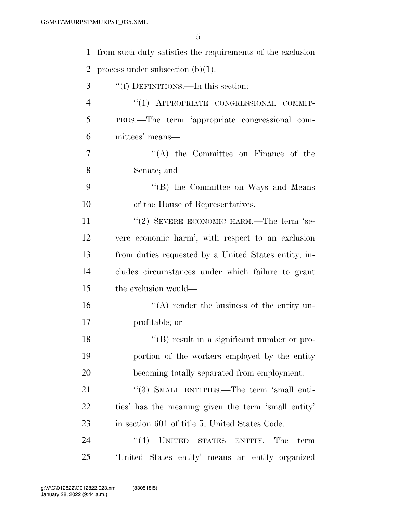| $\mathbf{1}$   | from such duty satisfies the requirements of the exclusion    |
|----------------|---------------------------------------------------------------|
| $\overline{2}$ | process under subsection $(b)(1)$ .                           |
| 3              | "(f) DEFINITIONS.—In this section:                            |
| $\overline{4}$ | "(1) APPROPRIATE CONGRESSIONAL COMMIT-                        |
| 5              | TEES.—The term 'appropriate congressional com-                |
| 6              | mittees' means—                                               |
| 7              | $\lq\lq$ the Committee on Finance of the                      |
| 8              | Senate; and                                                   |
| 9              | "(B) the Committee on Ways and Means                          |
| 10             | of the House of Representatives.                              |
| 11             | "(2) SEVERE ECONOMIC HARM.—The term 'se-                      |
| 12             | vere economic harm', with respect to an exclusion             |
| 13             | from duties requested by a United States entity, in-          |
| 14             | cludes circumstances under which failure to grant             |
| 15             | the exclusion would—                                          |
| 16             | $\lq\lq$ render the business of the entity un-                |
| 17             | profitable; or                                                |
| 18             | $\lq$ <sup>"</sup> (B) result in a significant number or pro- |
| 19             | portion of the workers employed by the entity                 |
| 20             | becoming totally separated from employment.                   |
| 21             | "(3) SMALL ENTITIES.—The term 'small enti-                    |
| 22             | ties' has the meaning given the term 'small entity'           |
| 23             | in section 601 of title 5, United States Code.                |
| 24             | UNITED STATES ENTITY.—The<br>(4)<br>term                      |
| 25             | United States entity' means an entity organized               |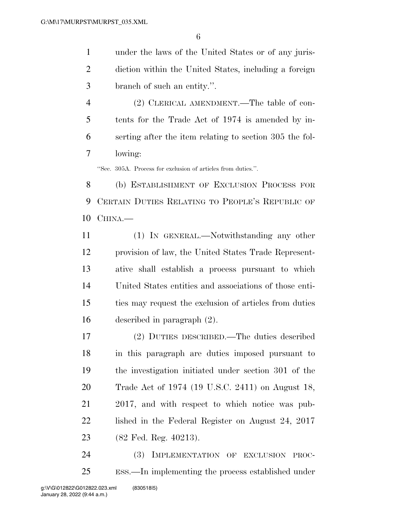under the laws of the United States or of any juris- diction within the United States, including a foreign branch of such an entity.''.

 (2) CLERICAL AMENDMENT.—The table of con- tents for the Trade Act of 1974 is amended by in- serting after the item relating to section 305 the fol-lowing:

''Sec. 305A. Process for exclusion of articles from duties.''.

 (b) ESTABLISHMENT OF EXCLUSION PROCESS FOR CERTAIN DUTIES RELATING TO PEOPLE'S REPUBLIC OF CHINA.—

 (1) IN GENERAL.—Notwithstanding any other provision of law, the United States Trade Represent- ative shall establish a process pursuant to which United States entities and associations of those enti- ties may request the exclusion of articles from duties described in paragraph (2).

 (2) DUTIES DESCRIBED.—The duties described in this paragraph are duties imposed pursuant to the investigation initiated under section 301 of the Trade Act of 1974 (19 U.S.C. 2411) on August 18, 2017, and with respect to which notice was pub-22 lished in the Federal Register on August 24, 2017 (82 Fed. Reg. 40213).

 (3) IMPLEMENTATION OF EXCLUSION PROC-ESS.—In implementing the process established under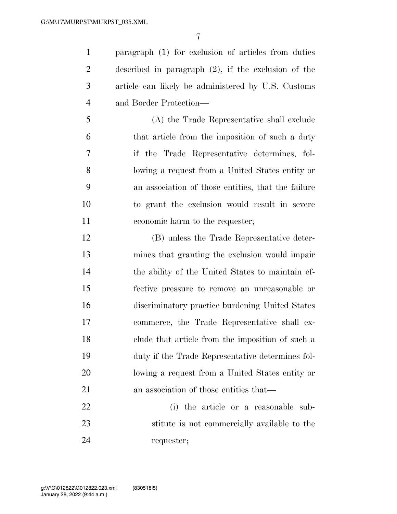paragraph (1) for exclusion of articles from duties described in paragraph (2), if the exclusion of the article can likely be administered by U.S. Customs and Border Protection—

 (A) the Trade Representative shall exclude that article from the imposition of such a duty if the Trade Representative determines, fol- lowing a request from a United States entity or an association of those entities, that the failure to grant the exclusion would result in severe economic harm to the requester;

 (B) unless the Trade Representative deter- mines that granting the exclusion would impair the ability of the United States to maintain ef- fective pressure to remove an unreasonable or discriminatory practice burdening United States commerce, the Trade Representative shall ex- clude that article from the imposition of such a duty if the Trade Representative determines fol- lowing a request from a United States entity or 21 an association of those entities that—

 (i) the article or a reasonable sub- stitute is not commercially available to the requester;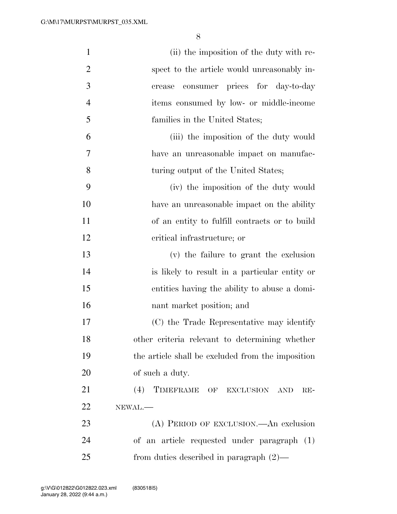| $\mathbf{1}$   | (ii) the imposition of the duty with re-          |
|----------------|---------------------------------------------------|
| $\overline{2}$ | spect to the article would unreasonably in-       |
| 3              | consumer prices for day-to-day<br>crease          |
| $\overline{4}$ | items consumed by low- or middle-income           |
| 5              | families in the United States;                    |
| 6              | (iii) the imposition of the duty would            |
| 7              | have an unreasonable impact on manufac-           |
| 8              | turing output of the United States;               |
| 9              | (iv) the imposition of the duty would             |
| 10             | have an unreasonable impact on the ability        |
| 11             | of an entity to fulfill contracts or to build     |
| 12             | critical infrastructure; or                       |
| 13             | (v) the failure to grant the exclusion            |
| 14             | is likely to result in a particular entity or     |
| 15             | entities having the ability to abuse a domi-      |
| 16             | nant market position; and                         |
| 17             | (C) the Trade Representative may identify         |
| 18             | other criteria relevant to determining whether    |
| 19             | the article shall be excluded from the imposition |
| 20             | of such a duty.                                   |
| 21             | (4)<br>TIMEFRAME OF EXCLUSION AND<br>$RE-$        |
| 22             | NEWAL.-                                           |
| 23             | (A) PERIOD OF EXCLUSION.—An exclusion             |
| 24             | of an article requested under paragraph (1)       |
| 25             | from duties described in paragraph $(2)$ —        |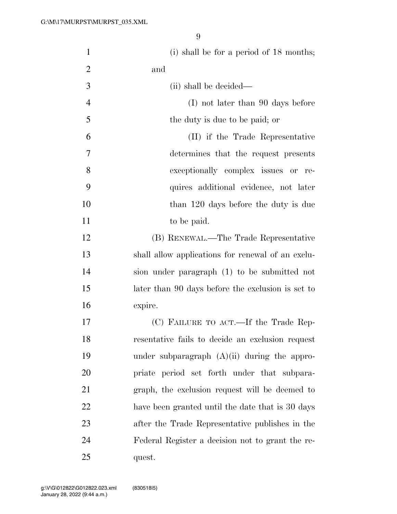| $\mathbf{1}$   | (i) shall be for a period of $18$ months;         |
|----------------|---------------------------------------------------|
| $\overline{2}$ | and                                               |
| 3              | (ii) shall be decided—                            |
| $\overline{4}$ | (I) not later than 90 days before                 |
| 5              | the duty is due to be paid; or                    |
| 6              | (II) if the Trade Representative                  |
| 7              | determines that the request presents              |
| 8              | exceptionally complex issues or re-               |
| 9              | quires additional evidence, not later             |
| 10             | than 120 days before the duty is due              |
| 11             | to be paid.                                       |
| 12             | (B) RENEWAL.—The Trade Representative             |
| 13             | shall allow applications for renewal of an exclu- |
| 14             | sion under paragraph (1) to be submitted not      |
| 15             | later than 90 days before the exclusion is set to |
| 16             | expire.                                           |
| 17             | (C) FAILURE TO ACT.—If the Trade Rep-             |
| 18             | resentative fails to decide an exclusion request  |
| 19             | under subparagraph $(A)(ii)$ during the appro-    |
| 20             | priate period set forth under that subpara-       |
| 21             | graph, the exclusion request will be deemed to    |
| 22             | have been granted until the date that is 30 days  |
| 23             | after the Trade Representative publishes in the   |
| 24             | Federal Register a decision not to grant the re-  |
| 25             | quest.                                            |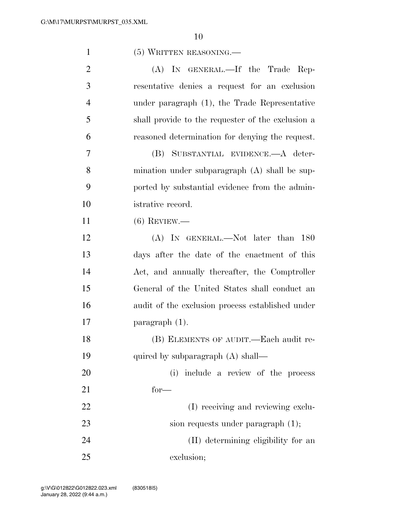| $\mathbf{1}$   | (5) WRITTEN REASONING.                            |
|----------------|---------------------------------------------------|
| $\overline{2}$ | (A) IN GENERAL.—If the Trade Rep-                 |
| 3              | resentative denies a request for an exclusion     |
| $\overline{4}$ | under paragraph (1), the Trade Representative     |
| 5              | shall provide to the requester of the exclusion a |
| 6              | reasoned determination for denying the request.   |
| $\overline{7}$ | (B) SUBSTANTIAL EVIDENCE.—A deter-                |
| 8              | mination under subparagraph (A) shall be sup-     |
| 9              | ported by substantial evidence from the admin-    |
| 10             | istrative record.                                 |
| 11             | $(6)$ REVIEW.—                                    |
| 12             | (A) IN GENERAL.—Not later than 180                |
| 13             | days after the date of the enactment of this      |
| 14             | Act, and annually thereafter, the Comptroller     |
| 15             | General of the United States shall conduct an     |
| 16             | audit of the exclusion process established under  |
| 17             | $\frac{1}{2}$ paragraph $(1)$ .                   |
| 18             | (B) ELEMENTS OF AUDIT.—Each audit re-             |
| 19             | quired by subparagraph (A) shall—                 |
| 20             | (i) include a review of the process               |
| 21             | $for-$                                            |
| 22             | (I) receiving and reviewing exclu-                |
| 23             | sion requests under paragraph $(1)$ ;             |
| 24             | (II) determining eligibility for an               |
| 25             | exclusion;                                        |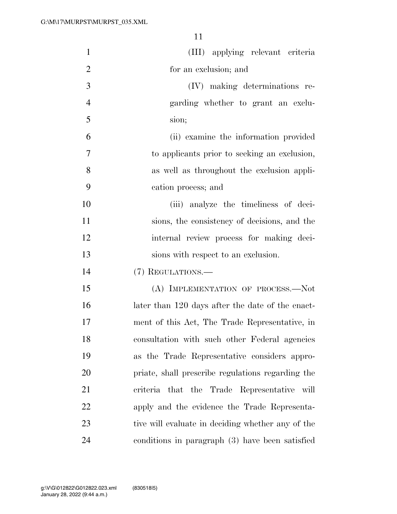| $\mathbf{1}$   | (III) applying relevant criteria                  |
|----------------|---------------------------------------------------|
| $\overline{2}$ | for an exclusion; and                             |
| 3              | (IV) making determinations re-                    |
| $\overline{4}$ | garding whether to grant an exclu-                |
| 5              | sion;                                             |
| 6              | (ii) examine the information provided             |
| 7              | to applicants prior to seeking an exclusion,      |
| 8              | as well as throughout the exclusion appli-        |
| 9              | cation process; and                               |
| 10             | (iii) analyze the timeliness of deci-             |
| 11             | sions, the consistency of decisions, and the      |
| 12             | internal review process for making deci-          |
| 13             | sions with respect to an exclusion.               |
| 14             | (7) REGULATIONS.—                                 |
| 15             | (A) IMPLEMENTATION OF PROCESS.-Not                |
| 16             | later than 120 days after the date of the enact-  |
| 17             | ment of this Act, The Trade Representative, in    |
| 18             | consultation with such other Federal agencies     |
| 19             | as the Trade Representative considers appro-      |
| 20             | priate, shall prescribe regulations regarding the |
| 21             | criteria that the Trade Representative will       |
| 22             | apply and the evidence the Trade Representa-      |
| 23             | tive will evaluate in deciding whether any of the |
| 24             | conditions in paragraph (3) have been satisfied   |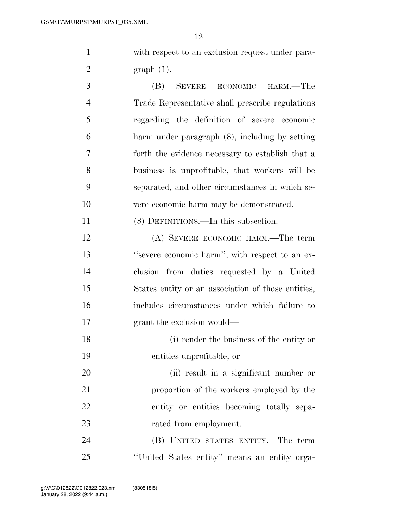with respect to an exclusion request under para-graph (1).

 (B) SEVERE ECONOMIC HARM.—The Trade Representative shall prescribe regulations regarding the definition of severe economic harm under paragraph (8), including by setting forth the evidence necessary to establish that a business is unprofitable, that workers will be separated, and other circumstances in which se-vere economic harm may be demonstrated.

(8) DEFINITIONS.—In this subsection:

 (A) SEVERE ECONOMIC HARM.—The term ''severe economic harm'', with respect to an ex- clusion from duties requested by a United States entity or an association of those entities, includes circumstances under which failure to grant the exclusion would—

 (i) render the business of the entity or entities unprofitable; or

 (ii) result in a significant number or proportion of the workers employed by the entity or entities becoming totally sepa-23 rated from employment.

 (B) UNITED STATES ENTITY.—The term ''United States entity'' means an entity orga-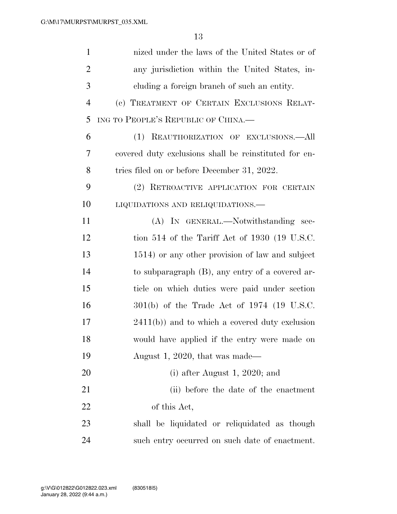| $\mathbf{1}$   | nized under the laws of the United States or of       |
|----------------|-------------------------------------------------------|
| 2              | any jurisdiction within the United States, in-        |
| 3              | eluding a foreign branch of such an entity.           |
| $\overline{4}$ | (c) TREATMENT OF CERTAIN EXCLUSIONS RELAT-            |
| 5              | ING TO PEOPLE'S REPUBLIC OF CHINA.                    |
| 6              | (1) REAUTHORIZATION OF EXCLUSIONS.- All               |
| 7              | covered duty exclusions shall be reinstituted for en- |
| 8              | tries filed on or before December 31, 2022.           |
| 9              | (2) RETROACTIVE APPLICATION FOR CERTAIN               |
| 10             | LIQUIDATIONS AND RELIQUIDATIONS.-                     |
| 11             | (A) IN GENERAL.—Notwithstanding sec-                  |
| 12             | tion 514 of the Tariff Act of 1930 (19 U.S.C.         |
| 13             | 1514) or any other provision of law and subject       |
| 14             | to subparagraph (B), any entry of a covered ar-       |
| 15             | ticle on which duties were paid under section         |
| 16             | $301(b)$ of the Trade Act of 1974 (19 U.S.C.          |
| 17             | $2411(b)$ ) and to which a covered duty exclusion     |
| 18             | would have applied if the entry were made on          |
| 19             | August 1, 2020, that was made—                        |
| 20             | (i) after August 1, 2020; and                         |
| 21             | (ii) before the date of the enactment                 |
| 22             | of this Act,                                          |
| 23             | shall be liquidated or reliquidated as though         |
| 24             | such entry occurred on such date of enactment.        |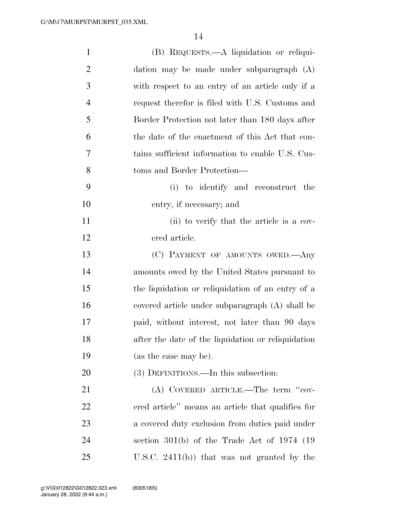| $\mathbf{1}$   | (B) REQUESTS.—A liquidation or reliqui-            |
|----------------|----------------------------------------------------|
| $\overline{2}$ | dation may be made under subparagraph (A)          |
| 3              | with respect to an entry of an article only if a   |
| $\overline{4}$ | request therefor is filed with U.S. Customs and    |
| 5              | Border Protection not later than 180 days after    |
| 6              | the date of the enactment of this Act that con-    |
| 7              | tains sufficient information to enable U.S. Cus-   |
| 8              | toms and Border Protection—                        |
| 9              | (i) to identify and reconstruct the                |
| 10             | entry, if necessary; and                           |
| 11             | (ii) to verify that the article is a cov-          |
| 12             | ered article.                                      |
| 13             | (C) PAYMENT OF AMOUNTS OWED.—Any                   |
| 14             | amounts owed by the United States pursuant to      |
| 15             | the liquidation or reliquidation of an entry of a  |
| 16             | covered article under subparagraph (A) shall be    |
| 17             | paid, without interest, not later than 90 days     |
| 18             | after the date of the liquidation or reliquidation |
| 19             | (as the case may be).                              |
| 20             | (3) DEFINITIONS.—In this subsection:               |
| 21             | (A) COVERED ARTICLE.—The term "cov-                |
| 22             | ered article" means an article that qualifies for  |
| 23             | a covered duty exclusion from duties paid under    |
| 24             | section 301(b) of the Trade Act of 1974 $(19$      |
| 25             | U.S.C. $2411(b)$ that was not granted by the       |